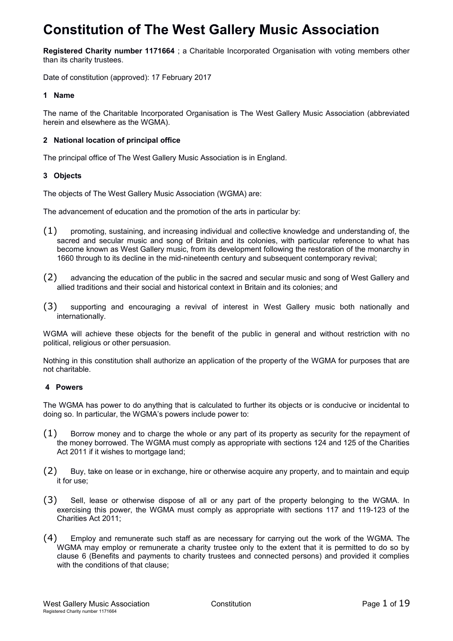# **Constitution of The West Gallery Music Association**

**Registered Charity number 1171664** ; a Charitable Incorporated Organisation with voting members other than its charity trustees.

Date of constitution (approved): 17 February 2017

## **1 Name**

The name of the Charitable Incorporated Organisation is The West Gallery Music Association (abbreviated herein and elsewhere as the WGMA).

## **2 National location of principal office**

The principal office of The West Gallery Music Association is in England.

## **3 Objects**

The objects of The West Gallery Music Association (WGMA) are:

The advancement of education and the promotion of the arts in particular by:

- (1) promoting, sustaining, and increasing individual and collective knowledge and understanding of, the sacred and secular music and song of Britain and its colonies, with particular reference to what has become known as West Gallery music, from its development following the restoration of the monarchy in 1660 through to its decline in the mid-nineteenth century and subsequent contemporary revival;
- (2) advancing the education of the public in the sacred and secular music and song of West Gallery and allied traditions and their social and historical context in Britain and its colonies; and
- (3) supporting and encouraging a revival of interest in West Gallery music both nationally and internationally.

WGMA will achieve these objects for the benefit of the public in general and without restriction with no political, religious or other persuasion.

Nothing in this constitution shall authorize an application of the property of the WGMA for purposes that are not charitable.

## **4 Powers**

The WGMA has power to do anything that is calculated to further its objects or is conducive or incidental to doing so. In particular, the WGMA's powers include power to:

- (1) Borrow money and to charge the whole or any part of its property as security for the repayment of the money borrowed. The WGMA must comply as appropriate with sections 124 and 125 of the Charities Act 2011 if it wishes to mortgage land;
- (2) Buy, take on lease or in exchange, hire or otherwise acquire any property, and to maintain and equip it for use;
- (3) Sell, lease or otherwise dispose of all or any part of the property belonging to the WGMA. In exercising this power, the WGMA must comply as appropriate with sections 117 and 119-123 of the Charities Act 2011;
- (4) Employ and remunerate such staff as are necessary for carrying out the work of the WGMA. The WGMA may employ or remunerate a charity trustee only to the extent that it is permitted to do so by clause 6 (Benefits and payments to charity trustees and connected persons) and provided it complies with the conditions of that clause;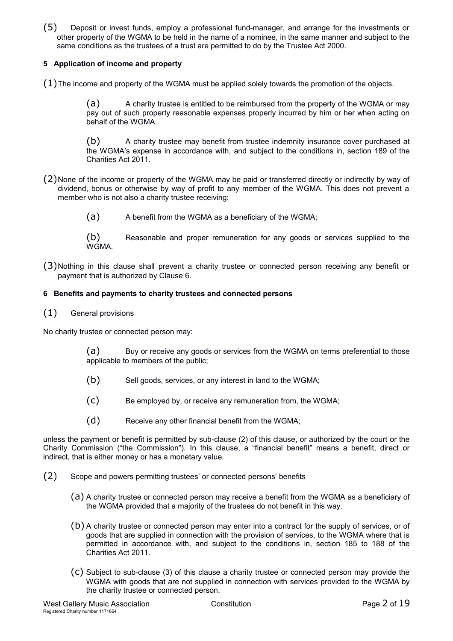(5) Deposit or invest funds, employ a professional fund-manager, and arrange for the investments or other property of the WGMA to be held in the name of a nominee, in the same manner and subject to the same conditions as the trustees of a trust are permitted to do by the Trustee Act 2000.

## **5 Application of income and property**

 $(1)$ The income and property of the WGMA must be applied solely towards the promotion of the objects.

(a) A charity trustee is entitled to be reimbursed from the property of the WGMA or may pay out of such property reasonable expenses properly incurred by him or her when acting on behalf of the WGMA.

(b) A charity trustee may benefit from trustee indemnity insurance cover purchased at the WGMA's expense in accordance with, and subject to the conditions in, section 189 of the Charities Act 2011.

- (2)None of the income or property of the WGMA may be paid or transferred directly or indirectly by way of dividend, bonus or otherwise by way of profit to any member of the WGMA. This does not prevent a member who is not also a charity trustee receiving:
	- (a) A benefit from the WGMA as a beneficiary of the WGMA;

(b) Reasonable and proper remuneration for any goods or services supplied to the WGMA.

(3)Nothing in this clause shall prevent a charity trustee or connected person receiving any benefit or payment that is authorized by Clause 6.

#### **6 Benefits and payments to charity trustees and connected persons**

(1) General provisions

No charity trustee or connected person may:

(a) Buy or receive any goods or services from the WGMA on terms preferential to those applicable to members of the public;

- (b) Sell goods, services, or any interest in land to the WGMA;
- (c) Be employed by, or receive any remuneration from, the WGMA;
- (d) Receive any other financial benefit from the WGMA;

unless the payment or benefit is permitted by sub-clause (2) of this clause, or authorized by the court or the Charity Commission ("the Commission"). In this clause, a "financial benefit" means a benefit, direct or indirect, that is either money or has a monetary value.

- (2) Scope and powers permitting trustees' or connected persons' benefits
	- (a) A charity trustee or connected person may receive a benefit from the WGMA as a beneficiary of the WGMA provided that a majority of the trustees do not benefit in this way.
	- (b) A charity trustee or connected person may enter into a contract for the supply of services, or of goods that are supplied in connection with the provision of services, to the WGMA where that is permitted in accordance with, and subject to the conditions in, section 185 to 188 of the Charities Act 2011.
	- (c) Subject to sub-clause (3) of this clause a charity trustee or connected person may provide the WGMA with goods that are not supplied in connection with services provided to the WGMA by the charity trustee or connected person.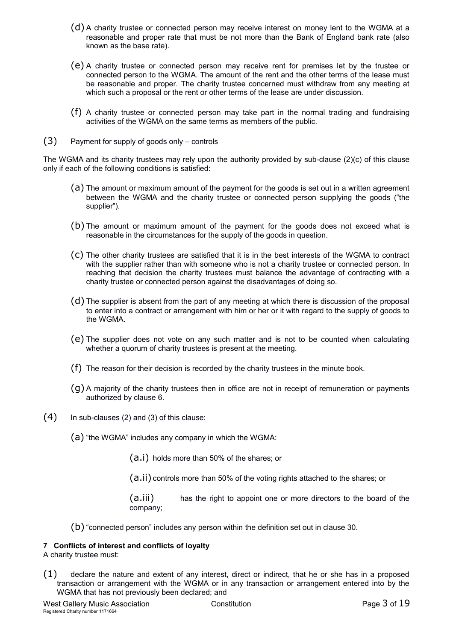- (d) A charity trustee or connected person may receive interest on money lent to the WGMA at a reasonable and proper rate that must be not more than the Bank of England bank rate (also known as the base rate).
- (e) A charity trustee or connected person may receive rent for premises let by the trustee or connected person to the WGMA. The amount of the rent and the other terms of the lease must be reasonable and proper. The charity trustee concerned must withdraw from any meeting at which such a proposal or the rent or other terms of the lease are under discussion.
- (f) A charity trustee or connected person may take part in the normal trading and fundraising activities of the WGMA on the same terms as members of the public.
- (3) Payment for supply of goods only controls

The WGMA and its charity trustees may rely upon the authority provided by sub-clause (2)(c) of this clause only if each of the following conditions is satisfied:

- (a) The amount or maximum amount of the payment for the goods is set out in a written agreement between the WGMA and the charity trustee or connected person supplying the goods ("the supplier").
- (b) The amount or maximum amount of the payment for the goods does not exceed what is reasonable in the circumstances for the supply of the goods in question.
- (c) The other charity trustees are satisfied that it is in the best interests of the WGMA to contract with the supplier rather than with someone who is not a charity trustee or connected person. In reaching that decision the charity trustees must balance the advantage of contracting with a charity trustee or connected person against the disadvantages of doing so.
- (d) The supplier is absent from the part of any meeting at which there is discussion of the proposal to enter into a contract or arrangement with him or her or it with regard to the supply of goods to the WGMA.
- (e) The supplier does not vote on any such matter and is not to be counted when calculating whether a quorum of charity trustees is present at the meeting.
- (f) The reason for their decision is recorded by the charity trustees in the minute book.
- (g) A majority of the charity trustees then in office are not in receipt of remuneration or payments authorized by clause 6.
- (4) In sub-clauses (2) and (3) of this clause:
	- (a) "the WGMA" includes any company in which the WGMA:

(a.i) holds more than 50% of the shares; or

(a.ii) controls more than 50% of the voting rights attached to the shares; or

(a.iii) has the right to appoint one or more directors to the board of the company;

(b) "connected person" includes any person within the definition set out in clause 30.

## **7 Conflicts of interest and conflicts of loyalty**

A charity trustee must:

(1) declare the nature and extent of any interest, direct or indirect, that he or she has in a proposed transaction or arrangement with the WGMA or in any transaction or arrangement entered into by the WGMA that has not previously been declared; and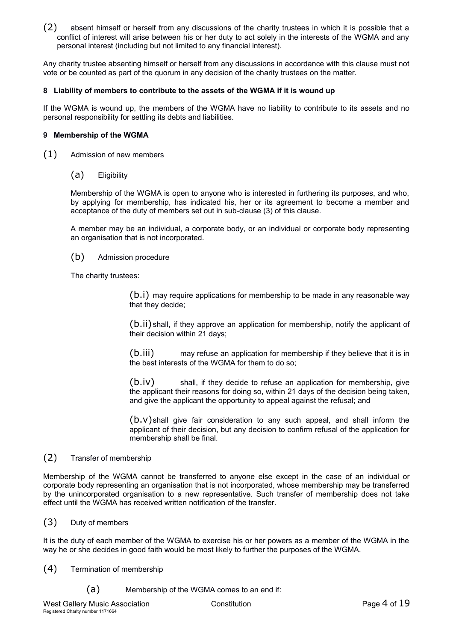(2) absent himself or herself from any discussions of the charity trustees in which it is possible that a conflict of interest will arise between his or her duty to act solely in the interests of the WGMA and any personal interest (including but not limited to any financial interest).

Any charity trustee absenting himself or herself from any discussions in accordance with this clause must not vote or be counted as part of the quorum in any decision of the charity trustees on the matter.

#### **8 Liability of members to contribute to the assets of the WGMA if it is wound up**

If the WGMA is wound up, the members of the WGMA have no liability to contribute to its assets and no personal responsibility for settling its debts and liabilities.

#### **9 Membership of the WGMA**

- (1) Admission of new members
	- (a) Eligibility

Membership of the WGMA is open to anyone who is interested in furthering its purposes, and who, by applying for membership, has indicated his, her or its agreement to become a member and acceptance of the duty of members set out in sub-clause (3) of this clause.

A member may be an individual, a corporate body, or an individual or corporate body representing an organisation that is not incorporated.

(b) Admission procedure

The charity trustees:

(b.i) may require applications for membership to be made in any reasonable way that they decide;

(b.ii) shall, if they approve an application for membership, notify the applicant of their decision within 21 days;

(b.iii) may refuse an application for membership if they believe that it is in the best interests of the WGMA for them to do so;

(b.iv) shall, if they decide to refuse an application for membership, give the applicant their reasons for doing so, within 21 days of the decision being taken, and give the applicant the opportunity to appeal against the refusal; and

 $(b.v)$ shall give fair consideration to any such appeal, and shall inform the applicant of their decision, but any decision to confirm refusal of the application for membership shall be final.

## (2) Transfer of membership

Membership of the WGMA cannot be transferred to anyone else except in the case of an individual or corporate body representing an organisation that is not incorporated, whose membership may be transferred by the unincorporated organisation to a new representative. Such transfer of membership does not take effect until the WGMA has received written notification of the transfer.

(3) Duty of members

It is the duty of each member of the WGMA to exercise his or her powers as a member of the WGMA in the way he or she decides in good faith would be most likely to further the purposes of the WGMA.

- (4) Termination of membership
	- (a) Membership of the WGMA comes to an end if: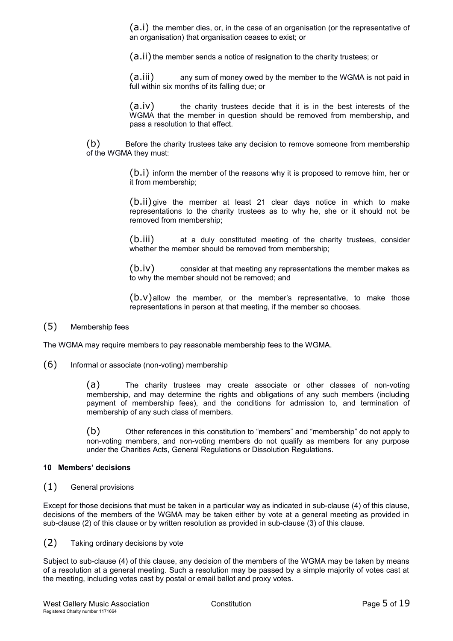(a.i) the member dies, or, in the case of an organisation (or the representative of an organisation) that organisation ceases to exist; or

(a.ii) the member sends a notice of resignation to the charity trustees; or

(a.iii) any sum of money owed by the member to the WGMA is not paid in full within six months of its falling due; or

(a.iv) the charity trustees decide that it is in the best interests of the WGMA that the member in question should be removed from membership, and pass a resolution to that effect.

(b) Before the charity trustees take any decision to remove someone from membership of the WGMA they must:

> (b.i) inform the member of the reasons why it is proposed to remove him, her or it from membership;

> (b.ii)give the member at least 21 clear days notice in which to make representations to the charity trustees as to why he, she or it should not be removed from membership;

> (b.iii) at a duly constituted meeting of the charity trustees, consider whether the member should be removed from membership;

> (b.iv) consider at that meeting any representations the member makes as to why the member should not be removed; and

> $(b.v)$  allow the member, or the member's representative, to make those representations in person at that meeting, if the member so chooses.

## (5) Membership fees

The WGMA may require members to pay reasonable membership fees to the WGMA.

(6) Informal or associate (non-voting) membership

(a) The charity trustees may create associate or other classes of non-voting membership, and may determine the rights and obligations of any such members (including payment of membership fees), and the conditions for admission to, and termination of membership of any such class of members.

(b) Other references in this constitution to "members" and "membership" do not apply to non-voting members, and non-voting members do not qualify as members for any purpose under the Charities Acts, General Regulations or Dissolution Regulations.

#### **10 Members' decisions**

(1) General provisions

Except for those decisions that must be taken in a particular way as indicated in sub-clause (4) of this clause, decisions of the members of the WGMA may be taken either by vote at a general meeting as provided in sub-clause (2) of this clause or by written resolution as provided in sub-clause (3) of this clause.

## (2) Taking ordinary decisions by vote

Subject to sub-clause (4) of this clause, any decision of the members of the WGMA may be taken by means of a resolution at a general meeting. Such a resolution may be passed by a simple majority of votes cast at the meeting, including votes cast by postal or email ballot and proxy votes.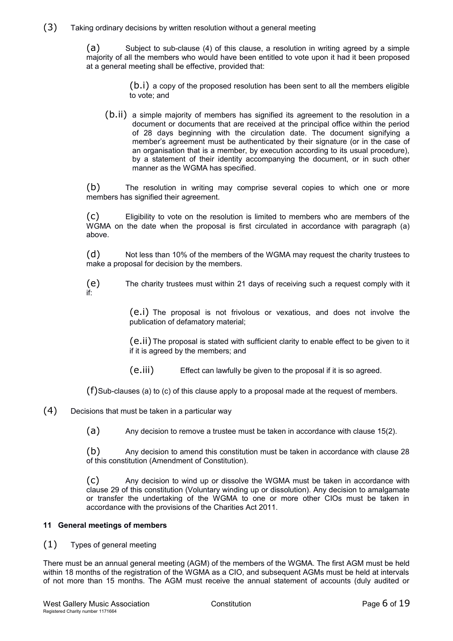## (3) Taking ordinary decisions by written resolution without a general meeting

(a) Subject to sub-clause (4) of this clause, a resolution in writing agreed by a simple majority of all the members who would have been entitled to vote upon it had it been proposed at a general meeting shall be effective, provided that:

> (b.i) a copy of the proposed resolution has been sent to all the members eligible to vote; and

(b.ii) a simple majority of members has signified its agreement to the resolution in a document or documents that are received at the principal office within the period of 28 days beginning with the circulation date. The document signifying a member's agreement must be authenticated by their signature (or in the case of an organisation that is a member, by execution according to its usual procedure), by a statement of their identity accompanying the document, or in such other manner as the WGMA has specified.

(b) The resolution in writing may comprise several copies to which one or more members has signified their agreement.

(c) Eligibility to vote on the resolution is limited to members who are members of the WGMA on the date when the proposal is first circulated in accordance with paragraph (a) above.

(d) Not less than 10% of the members of the WGMA may request the charity trustees to make a proposal for decision by the members.

(e) The charity trustees must within 21 days of receiving such a request comply with it if:

> (e.i) The proposal is not frivolous or vexatious, and does not involve the publication of defamatory material;

> (e.ii) The proposal is stated with sufficient clarity to enable effect to be given to it if it is agreed by the members; and

(e.iii) Effect can lawfully be given to the proposal if it is so agreed.

(f)Sub-clauses (a) to (c) of this clause apply to a proposal made at the request of members.

(4) Decisions that must be taken in a particular way

(a) Any decision to remove a trustee must be taken in accordance with clause 15(2).

(b) Any decision to amend this constitution must be taken in accordance with clause 28 of this constitution (Amendment of Constitution).

(c) Any decision to wind up or dissolve the WGMA must be taken in accordance with clause 29 of this constitution (Voluntary winding up or dissolution). Any decision to amalgamate or transfer the undertaking of the WGMA to one or more other CIOs must be taken in accordance with the provisions of the Charities Act 2011.

## **11 General meetings of members**

## (1) Types of general meeting

There must be an annual general meeting (AGM) of the members of the WGMA. The first AGM must be held within 18 months of the registration of the WGMA as a CIO, and subsequent AGMs must be held at intervals of not more than 15 months. The AGM must receive the annual statement of accounts (duly audited or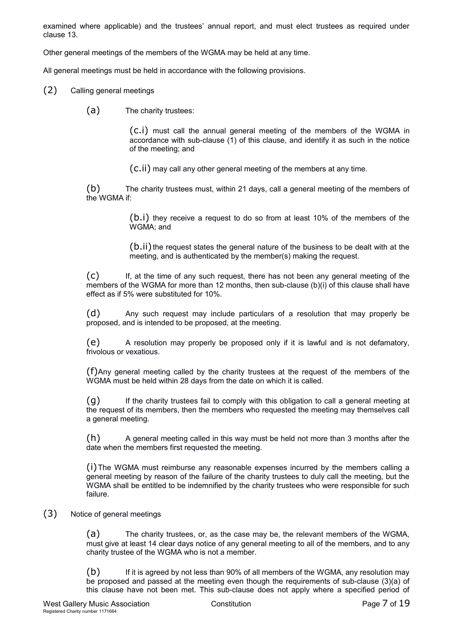examined where applicable) and the trustees' annual report, and must elect trustees as required under clause 13.

Other general meetings of the members of the WGMA may be held at any time.

All general meetings must be held in accordance with the following provisions.

- (2) Calling general meetings
	- (a) The charity trustees:

(c.i) must call the annual general meeting of the members of the WGMA in accordance with sub-clause (1) of this clause, and identify it as such in the notice of the meeting; and

(c.ii) may call any other general meeting of the members at any time.

(b) The charity trustees must, within 21 days, call a general meeting of the members of the WGMA if:

> (b.i) they receive a request to do so from at least 10% of the members of the WGMA; and

> (b.ii) the request states the general nature of the business to be dealt with at the meeting, and is authenticated by the member(s) making the request.

(c) If, at the time of any such request, there has not been any general meeting of the members of the WGMA for more than 12 months, then sub-clause (b)(i) of this clause shall have effect as if 5% were substituted for 10%.

(d) Any such request may include particulars of a resolution that may properly be proposed, and is intended to be proposed, at the meeting.

(e) A resolution may properly be proposed only if it is lawful and is not defamatory, frivolous or vexatious.

(f)Any general meeting called by the charity trustees at the request of the members of the WGMA must be held within 28 days from the date on which it is called.

(g) If the charity trustees fail to comply with this obligation to call a general meeting at the request of its members, then the members who requested the meeting may themselves call a general meeting.

(h) A general meeting called in this way must be held not more than 3 months after the date when the members first requested the meeting.

(i)The WGMA must reimburse any reasonable expenses incurred by the members calling a general meeting by reason of the failure of the charity trustees to duly call the meeting, but the WGMA shall be entitled to be indemnified by the charity trustees who were responsible for such failure.

## (3) Notice of general meetings

(a) The charity trustees, or, as the case may be, the relevant members of the WGMA, must give at least 14 clear days notice of any general meeting to all of the members, and to any charity trustee of the WGMA who is not a member.

(b) If it is agreed by not less than 90% of all members of the WGMA, any resolution may be proposed and passed at the meeting even though the requirements of sub-clause (3)(a) of this clause have not been met. This sub-clause does not apply where a specified period of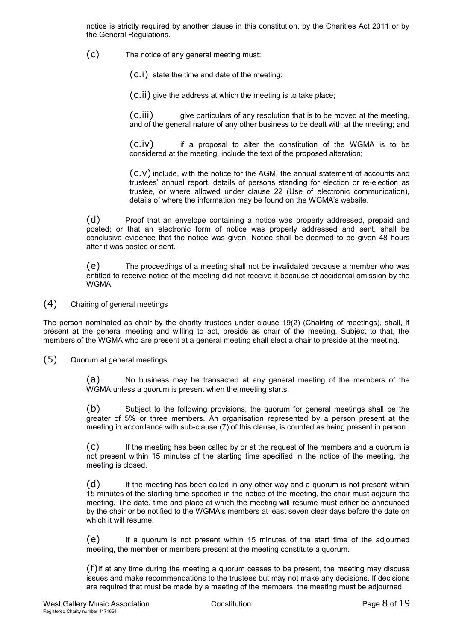notice is strictly required by another clause in this constitution, by the Charities Act 2011 or by the General Regulations.

(c) The notice of any general meeting must:

(c.i) state the time and date of the meeting:

(c.ii) give the address at which the meeting is to take place;

 $(c.iii)$  give particulars of any resolution that is to be moved at the meeting, and of the general nature of any other business to be dealt with at the meeting; and

(c.iv) if a proposal to alter the constitution of the WGMA is to be considered at the meeting, include the text of the proposed alteration;

(c.v) include, with the notice for the AGM, the annual statement of accounts and trustees' annual report, details of persons standing for election or re-election as trustee, or where allowed under clause 22 (Use of electronic communication), details of where the information may be found on the WGMA's website.

(d) Proof that an envelope containing a notice was properly addressed, prepaid and posted; or that an electronic form of notice was properly addressed and sent, shall be conclusive evidence that the notice was given. Notice shall be deemed to be given 48 hours after it was posted or sent.

(e) The proceedings of a meeting shall not be invalidated because a member who was entitled to receive notice of the meeting did not receive it because of accidental omission by the WGMA.

(4) Chairing of general meetings

The person nominated as chair by the charity trustees under clause 19(2) (Chairing of meetings), shall, if present at the general meeting and willing to act, preside as chair of the meeting. Subject to that, the members of the WGMA who are present at a general meeting shall elect a chair to preside at the meeting.

(5) Quorum at general meetings

(a) No business may be transacted at any general meeting of the members of the WGMA unless a quorum is present when the meeting starts.

(b) Subject to the following provisions, the quorum for general meetings shall be the greater of 5% or three members. An organisation represented by a person present at the meeting in accordance with sub-clause (7) of this clause, is counted as being present in person.

(c) If the meeting has been called by or at the request of the members and a quorum is not present within 15 minutes of the starting time specified in the notice of the meeting, the meeting is closed.

(d) If the meeting has been called in any other way and a quorum is not present within 15 minutes of the starting time specified in the notice of the meeting, the chair must adjourn the meeting. The date, time and place at which the meeting will resume must either be announced by the chair or be notified to the WGMA's members at least seven clear days before the date on which it will resume.

(e) If a quorum is not present within 15 minutes of the start time of the adjourned meeting, the member or members present at the meeting constitute a quorum.

 $(f)$ If at any time during the meeting a quorum ceases to be present, the meeting may discuss issues and make recommendations to the trustees but may not make any decisions. If decisions are required that must be made by a meeting of the members, the meeting must be adjourned.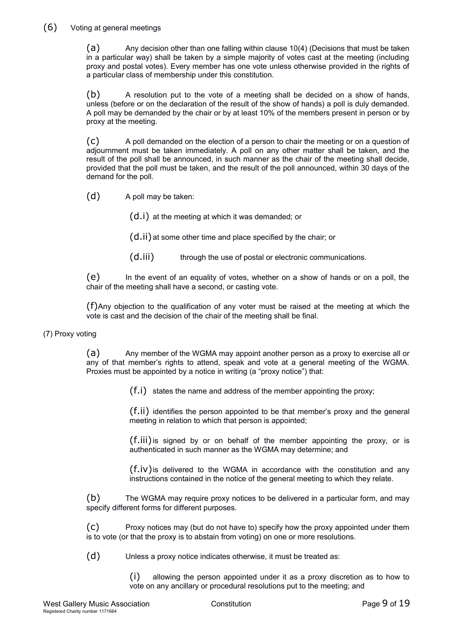# (6) Voting at general meetings

(a) Any decision other than one falling within clause 10(4) (Decisions that must be taken in a particular way) shall be taken by a simple majority of votes cast at the meeting (including proxy and postal votes). Every member has one vote unless otherwise provided in the rights of a particular class of membership under this constitution.

(b) A resolution put to the vote of a meeting shall be decided on a show of hands, unless (before or on the declaration of the result of the show of hands) a poll is duly demanded. A poll may be demanded by the chair or by at least 10% of the members present in person or by proxy at the meeting.

(c) A poll demanded on the election of a person to chair the meeting or on a question of adjournment must be taken immediately. A poll on any other matter shall be taken, and the result of the poll shall be announced, in such manner as the chair of the meeting shall decide, provided that the poll must be taken, and the result of the poll announced, within 30 days of the demand for the poll.

(d) A poll may be taken:

(d.i) at the meeting at which it was demanded; or

(d.ii)at some other time and place specified by the chair; or

(d.iii) through the use of postal or electronic communications.

(e) In the event of an equality of votes, whether on a show of hands or on a poll, the chair of the meeting shall have a second, or casting vote.

(f)Any objection to the qualification of any voter must be raised at the meeting at which the vote is cast and the decision of the chair of the meeting shall be final.

## (7) Proxy voting

(a) Any member of the WGMA may appoint another person as a proxy to exercise all or any of that member's rights to attend, speak and vote at a general meeting of the WGMA. Proxies must be appointed by a notice in writing (a "proxy notice") that:

(f.i) states the name and address of the member appointing the proxy;

(f.ii) identifies the person appointed to be that member's proxy and the general meeting in relation to which that person is appointed;

(f.iii)is signed by or on behalf of the member appointing the proxy, or is authenticated in such manner as the WGMA may determine; and

 $(f_{i}, i_{v})$  is delivered to the WGMA in accordance with the constitution and any instructions contained in the notice of the general meeting to which they relate.

(b) The WGMA may require proxy notices to be delivered in a particular form, and may specify different forms for different purposes.

(c) Proxy notices may (but do not have to) specify how the proxy appointed under them is to vote (or that the proxy is to abstain from voting) on one or more resolutions.

(d) Unless a proxy notice indicates otherwise, it must be treated as:

(i) allowing the person appointed under it as a proxy discretion as to how to vote on any ancillary or procedural resolutions put to the meeting; and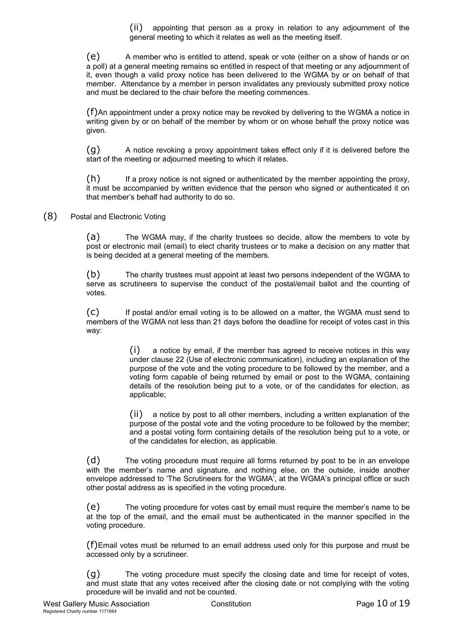(ii) appointing that person as a proxy in relation to any adjournment of the general meeting to which it relates as well as the meeting itself.

(e) A member who is entitled to attend, speak or vote (either on a show of hands or on a poll) at a general meeting remains so entitled in respect of that meeting or any adjournment of it, even though a valid proxy notice has been delivered to the WGMA by or on behalf of that member. Attendance by a member in person invalidates any previously submitted proxy notice and must be declared to the chair before the meeting commences.

(f)An appointment under a proxy notice may be revoked by delivering to the WGMA a notice in writing given by or on behalf of the member by whom or on whose behalf the proxy notice was given.

(g) A notice revoking a proxy appointment takes effect only if it is delivered before the start of the meeting or adjourned meeting to which it relates.

(h) If a proxy notice is not signed or authenticated by the member appointing the proxy, it must be accompanied by written evidence that the person who signed or authenticated it on that member's behalf had authority to do so.

(8) Postal and Electronic Voting

(a) The WGMA may, if the charity trustees so decide, allow the members to vote by post or electronic mail (email) to elect charity trustees or to make a decision on any matter that is being decided at a general meeting of the members.

(b) The charity trustees must appoint at least two persons independent of the WGMA to serve as scrutineers to supervise the conduct of the postal/email ballot and the counting of votes.

(c) If postal and/or email voting is to be allowed on a matter, the WGMA must send to members of the WGMA not less than 21 days before the deadline for receipt of votes cast in this way:

> (i) a notice by email, if the member has agreed to receive notices in this way under clause 22 (Use of electronic communication), including an explanation of the purpose of the vote and the voting procedure to be followed by the member, and a voting form capable of being returned by email or post to the WGMA, containing details of the resolution being put to a vote, or of the candidates for election, as applicable;

> (ii) a notice by post to all other members, including a written explanation of the purpose of the postal vote and the voting procedure to be followed by the member; and a postal voting form containing details of the resolution being put to a vote, or of the candidates for election, as applicable.

(d) The voting procedure must require all forms returned by post to be in an envelope with the member's name and signature, and nothing else, on the outside, inside another envelope addressed to 'The Scrutineers for the WGMA', at the WGMA's principal office or such other postal address as is specified in the voting procedure.

(e) The voting procedure for votes cast by email must require the member's name to be at the top of the email, and the email must be authenticated in the manner specified in the voting procedure.

(f)Email votes must be returned to an email address used only for this purpose and must be accessed only by a scrutineer.

(g) The voting procedure must specify the closing date and time for receipt of votes, and must state that any votes received after the closing date or not complying with the voting procedure will be invalid and not be counted.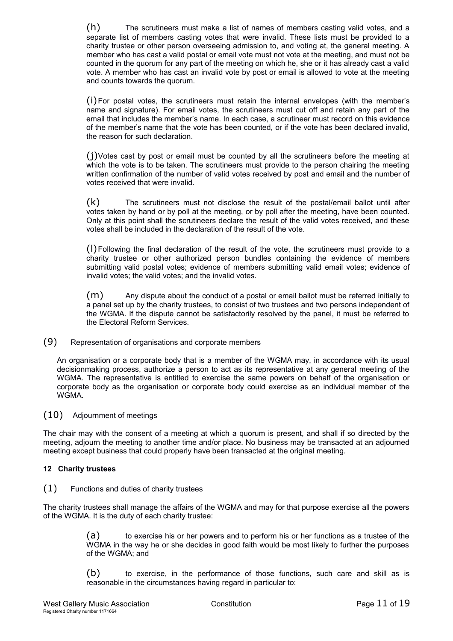(h) The scrutineers must make a list of names of members casting valid votes, and a separate list of members casting votes that were invalid. These lists must be provided to a charity trustee or other person overseeing admission to, and voting at, the general meeting. A member who has cast a valid postal or email vote must not vote at the meeting, and must not be counted in the quorum for any part of the meeting on which he, she or it has already cast a valid vote. A member who has cast an invalid vote by post or email is allowed to vote at the meeting and counts towards the quorum.

(i)For postal votes, the scrutineers must retain the internal envelopes (with the member's name and signature). For email votes, the scrutineers must cut off and retain any part of the email that includes the member's name. In each case, a scrutineer must record on this evidence of the member's name that the vote has been counted, or if the vote has been declared invalid, the reason for such declaration.

 $(i)$ Votes cast by post or email must be counted by all the scrutineers before the meeting at which the vote is to be taken. The scrutineers must provide to the person chairing the meeting written confirmation of the number of valid votes received by post and email and the number of votes received that were invalid.

(k) The scrutineers must not disclose the result of the postal/email ballot until after votes taken by hand or by poll at the meeting, or by poll after the meeting, have been counted. Only at this point shall the scrutineers declare the result of the valid votes received, and these votes shall be included in the declaration of the result of the vote.

(l)Following the final declaration of the result of the vote, the scrutineers must provide to a charity trustee or other authorized person bundles containing the evidence of members submitting valid postal votes; evidence of members submitting valid email votes; evidence of invalid votes; the valid votes; and the invalid votes.

(m) Any dispute about the conduct of a postal or email ballot must be referred initially to a panel set up by the charity trustees, to consist of two trustees and two persons independent of the WGMA. If the dispute cannot be satisfactorily resolved by the panel, it must be referred to the Electoral Reform Services.

(9) Representation of organisations and corporate members

An organisation or a corporate body that is a member of the WGMA may, in accordance with its usual decisionmaking process, authorize a person to act as its representative at any general meeting of the WGMA. The representative is entitled to exercise the same powers on behalf of the organisation or corporate body as the organisation or corporate body could exercise as an individual member of the WGMA.

(10) Adjournment of meetings

The chair may with the consent of a meeting at which a quorum is present, and shall if so directed by the meeting, adjourn the meeting to another time and/or place. No business may be transacted at an adjourned meeting except business that could properly have been transacted at the original meeting.

## **12 Charity trustees**

(1) Functions and duties of charity trustees

The charity trustees shall manage the affairs of the WGMA and may for that purpose exercise all the powers of the WGMA. It is the duty of each charity trustee:

> (a) to exercise his or her powers and to perform his or her functions as a trustee of the WGMA in the way he or she decides in good faith would be most likely to further the purposes of the WGMA; and

> (b) to exercise, in the performance of those functions, such care and skill as is reasonable in the circumstances having regard in particular to: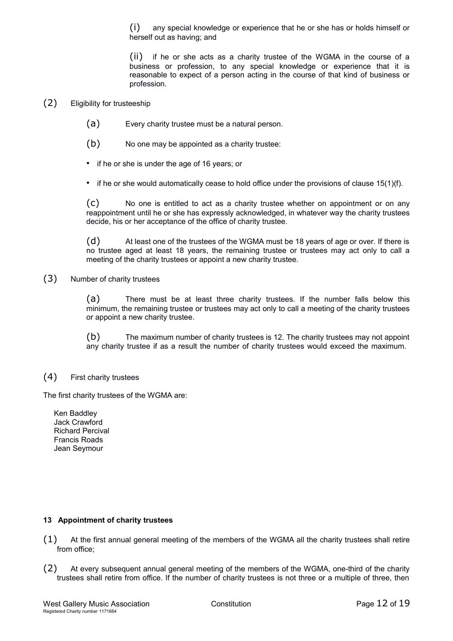(i) any special knowledge or experience that he or she has or holds himself or herself out as having; and

(ii) if he or she acts as a charity trustee of the WGMA in the course of a business or profession, to any special knowledge or experience that it is reasonable to expect of a person acting in the course of that kind of business or profession.

## (2) Eligibility for trusteeship

- (a) Every charity trustee must be a natural person.
- (b) No one may be appointed as a charity trustee:
- if he or she is under the age of 16 years; or
- if he or she would automatically cease to hold office under the provisions of clause 15(1)(f).

(c) No one is entitled to act as a charity trustee whether on appointment or on any reappointment until he or she has expressly acknowledged, in whatever way the charity trustees decide, his or her acceptance of the office of charity trustee.

(d) At least one of the trustees of the WGMA must be 18 years of age or over. If there is no trustee aged at least 18 years, the remaining trustee or trustees may act only to call a meeting of the charity trustees or appoint a new charity trustee.

(3) Number of charity trustees

(a) There must be at least three charity trustees. If the number falls below this minimum, the remaining trustee or trustees may act only to call a meeting of the charity trustees or appoint a new charity trustee.

(b) The maximum number of charity trustees is 12. The charity trustees may not appoint any charity trustee if as a result the number of charity trustees would exceed the maximum.

(4) First charity trustees

The first charity trustees of the WGMA are:

Ken Baddley Jack Crawford Richard Percival Francis Roads Jean Seymour

## **13 Appointment of charity trustees**

- (1) At the first annual general meeting of the members of the WGMA all the charity trustees shall retire from office;
- (2) At every subsequent annual general meeting of the members of the WGMA, one-third of the charity trustees shall retire from office. If the number of charity trustees is not three or a multiple of three, then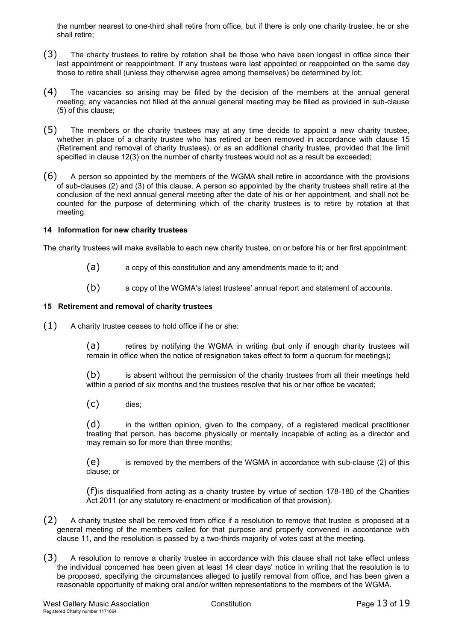the number nearest to one-third shall retire from office, but if there is only one charity trustee, he or she shall retire;

- (3) The charity trustees to retire by rotation shall be those who have been longest in office since their last appointment or reappointment. If any trustees were last appointed or reappointed on the same day those to retire shall (unless they otherwise agree among themselves) be determined by lot;
- (4) The vacancies so arising may be filled by the decision of the members at the annual general meeting; any vacancies not filled at the annual general meeting may be filled as provided in sub-clause (5) of this clause;
- (5) The members or the charity trustees may at any time decide to appoint a new charity trustee, whether in place of a charity trustee who has retired or been removed in accordance with clause 15 (Retirement and removal of charity trustees), or as an additional charity trustee, provided that the limit specified in clause 12(3) on the number of charity trustees would not as a result be exceeded;
- (6) A person so appointed by the members of the WGMA shall retire in accordance with the provisions of sub-clauses (2) and (3) of this clause. A person so appointed by the charity trustees shall retire at the conclusion of the next annual general meeting after the date of his or her appointment, and shall not be counted for the purpose of determining which of the charity trustees is to retire by rotation at that meeting.

#### **14 Information for new charity trustees**

The charity trustees will make available to each new charity trustee, on or before his or her first appointment:

- (a) a copy of this constitution and any amendments made to it; and
- (b) a copy of the WGMA's latest trustees' annual report and statement of accounts.

#### **15 Retirement and removal of charity trustees**

 $(1)$  A charity trustee ceases to hold office if he or she:

(a) retires by notifying the WGMA in writing (but only if enough charity trustees will remain in office when the notice of resignation takes effect to form a quorum for meetings);

(b) is absent without the permission of the charity trustees from all their meetings held within a period of six months and the trustees resolve that his or her office be vacated;

(c) dies;

(d) in the written opinion, given to the company, of a registered medical practitioner treating that person, has become physically or mentally incapable of acting as a director and may remain so for more than three months;

(e) is removed by the members of the WGMA in accordance with sub-clause (2) of this clause; or

(f)is disqualified from acting as a charity trustee by virtue of section 178-180 of the Charities Act 2011 (or any statutory re-enactment or modification of that provision).

- (2) A charity trustee shall be removed from office if a resolution to remove that trustee is proposed at a general meeting of the members called for that purpose and properly convened in accordance with clause 11, and the resolution is passed by a two-thirds majority of votes cast at the meeting.
- (3) A resolution to remove a charity trustee in accordance with this clause shall not take effect unless the individual concerned has been given at least 14 clear days' notice in writing that the resolution is to be proposed, specifying the circumstances alleged to justify removal from office, and has been given a reasonable opportunity of making oral and/or written representations to the members of the WGMA.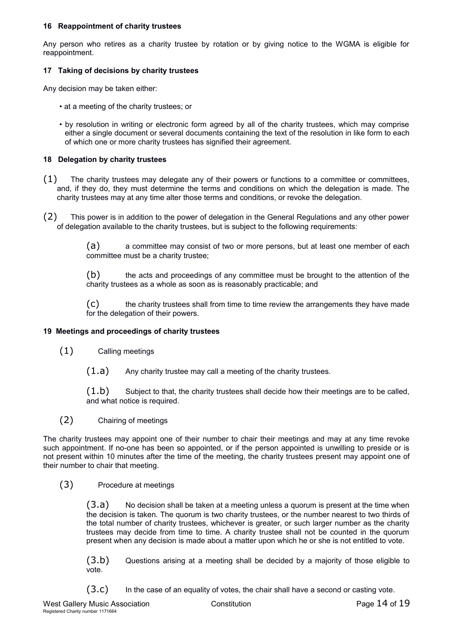#### **16 Reappointment of charity trustees**

Any person who retires as a charity trustee by rotation or by giving notice to the WGMA is eligible for reappointment.

## **17 Taking of decisions by charity trustees**

Any decision may be taken either:

- at a meeting of the charity trustees; or
- by resolution in writing or electronic form agreed by all of the charity trustees, which may comprise either a single document or several documents containing the text of the resolution in like form to each of which one or more charity trustees has signified their agreement.

#### **18 Delegation by charity trustees**

- (1) The charity trustees may delegate any of their powers or functions to a committee or committees, and, if they do, they must determine the terms and conditions on which the delegation is made. The charity trustees may at any time alter those terms and conditions, or revoke the delegation.
- (2) This power is in addition to the power of delegation in the General Regulations and any other power of delegation available to the charity trustees, but is subject to the following requirements:

(a) a committee may consist of two or more persons, but at least one member of each committee must be a charity trustee;

(b) the acts and proceedings of any committee must be brought to the attention of the charity trustees as a whole as soon as is reasonably practicable; and

(c) the charity trustees shall from time to time review the arrangements they have made for the delegation of their powers.

## **19 Meetings and proceedings of charity trustees**

- (1) Calling meetings
	- $(1.a)$  Any charity trustee may call a meeting of the charity trustees.

 $(1.b)$  Subject to that, the charity trustees shall decide how their meetings are to be called, and what notice is required.

(2) Chairing of meetings

The charity trustees may appoint one of their number to chair their meetings and may at any time revoke such appointment. If no-one has been so appointed, or if the person appointed is unwilling to preside or is not present within 10 minutes after the time of the meeting, the charity trustees present may appoint one of their number to chair that meeting.

## (3) Procedure at meetings

 $(3.a)$  No decision shall be taken at a meeting unless a quorum is present at the time when the decision is taken. The quorum is two charity trustees, or the number nearest to two thirds of the total number of charity trustees, whichever is greater, or such larger number as the charity trustees may decide from time to time. A charity trustee shall not be counted in the quorum present when any decision is made about a matter upon which he or she is not entitled to vote.

(3.b) Questions arising at a meeting shall be decided by a majority of those eligible to vote.

 $(3.c)$  In the case of an equality of votes, the chair shall have a second or casting vote.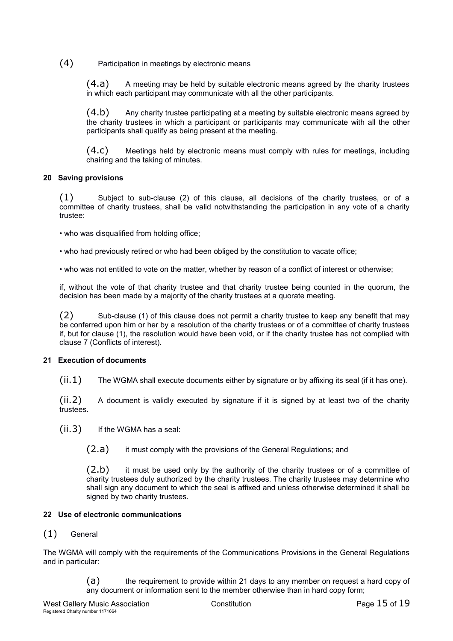# (4) Participation in meetings by electronic means

(4.a) A meeting may be held by suitable electronic means agreed by the charity trustees in which each participant may communicate with all the other participants.

(4.b) Any charity trustee participating at a meeting by suitable electronic means agreed by the charity trustees in which a participant or participants may communicate with all the other participants shall qualify as being present at the meeting.

(4.c) Meetings held by electronic means must comply with rules for meetings, including chairing and the taking of minutes.

# **20 Saving provisions**

(1) Subject to sub-clause (2) of this clause, all decisions of the charity trustees, or of a committee of charity trustees, shall be valid notwithstanding the participation in any vote of a charity trustee:

- who was disqualified from holding office;
- who had previously retired or who had been obliged by the constitution to vacate office;

• who was not entitled to vote on the matter, whether by reason of a conflict of interest or otherwise;

if, without the vote of that charity trustee and that charity trustee being counted in the quorum, the decision has been made by a majority of the charity trustees at a quorate meeting.

(2) Sub-clause (1) of this clause does not permit a charity trustee to keep any benefit that may be conferred upon him or her by a resolution of the charity trustees or of a committee of charity trustees if, but for clause (1), the resolution would have been void, or if the charity trustee has not complied with clause 7 (Conflicts of interest).

## **21 Execution of documents**

 $(ii.1)$  The WGMA shall execute documents either by signature or by affixing its seal (if it has one).

 $(ii.2)$  A document is validly executed by signature if it is signed by at least two of the charity trustees.

(ii.3) If the WGMA has a seal:

(2.a) it must comply with the provisions of the General Regulations; and

 $(2.b)$  it must be used only by the authority of the charity trustees or of a committee of charity trustees duly authorized by the charity trustees. The charity trustees may determine who shall sign any document to which the seal is affixed and unless otherwise determined it shall be signed by two charity trustees.

## **22 Use of electronic communications**

# (1) General

The WGMA will comply with the requirements of the Communications Provisions in the General Regulations and in particular:

> (a) the requirement to provide within 21 days to any member on request a hard copy of any document or information sent to the member otherwise than in hard copy form;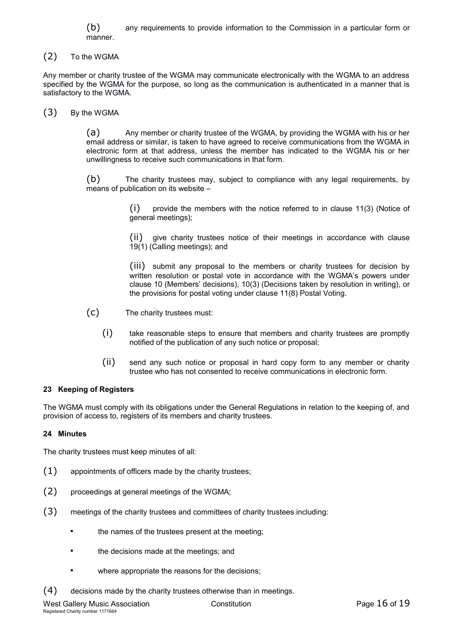(b) any requirements to provide information to the Commission in a particular form or manner.

(2) To the WGMA

Any member or charity trustee of the WGMA may communicate electronically with the WGMA to an address specified by the WGMA for the purpose, so long as the communication is authenticated in a manner that is satisfactory to the WGMA.

(3) By the WGMA

(a) Any member or charity trustee of the WGMA, by providing the WGMA with his or her email address or similar, is taken to have agreed to receive communications from the WGMA in electronic form at that address, unless the member has indicated to the WGMA his or her unwillingness to receive such communications in that form.

(b) The charity trustees may, subject to compliance with any legal requirements, by means of publication on its website –

> (i) provide the members with the notice referred to in clause 11(3) (Notice of general meetings);

> (ii) give charity trustees notice of their meetings in accordance with clause 19(1) (Calling meetings); and

> (iii) submit any proposal to the members or charity trustees for decision by written resolution or postal vote in accordance with the WGMA's powers under clause 10 (Members' decisions), 10(3) (Decisions taken by resolution in writing), or the provisions for postal voting under clause 11(8) Postal Voting.

(c) The charity trustees must:

- (i) take reasonable steps to ensure that members and charity trustees are promptly notified of the publication of any such notice or proposal;
- (ii) send any such notice or proposal in hard copy form to any member or charity trustee who has not consented to receive communications in electronic form.

## **23 Keeping of Registers**

The WGMA must comply with its obligations under the General Regulations in relation to the keeping of, and provision of access to, registers of its members and charity trustees.

## **24 Minutes**

The charity trustees must keep minutes of all:

- (1) appointments of officers made by the charity trustees;
- (2) proceedings at general meetings of the WGMA;
- (3) meetings of the charity trustees and committees of charity trustees including:
	- the names of the trustees present at the meeting:
	- the decisions made at the meetings; and
	- where appropriate the reasons for the decisions;

 $(4)$  decisions made by the charity trustees otherwise than in meetings.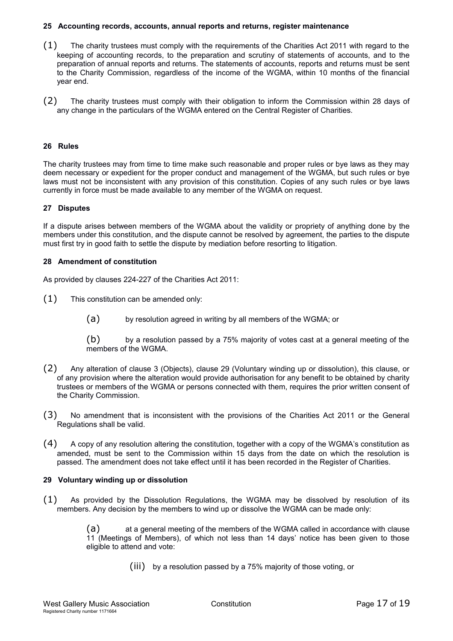#### **25 Accounting records, accounts, annual reports and returns, register maintenance**

- (1) The charity trustees must comply with the requirements of the Charities Act 2011 with regard to the keeping of accounting records, to the preparation and scrutiny of statements of accounts, and to the preparation of annual reports and returns. The statements of accounts, reports and returns must be sent to the Charity Commission, regardless of the income of the WGMA, within 10 months of the financial year end.
- (2) The charity trustees must comply with their obligation to inform the Commission within 28 days of any change in the particulars of the WGMA entered on the Central Register of Charities.

#### **26 Rules**

The charity trustees may from time to time make such reasonable and proper rules or bye laws as they may deem necessary or expedient for the proper conduct and management of the WGMA, but such rules or bye laws must not be inconsistent with any provision of this constitution. Copies of any such rules or bye laws currently in force must be made available to any member of the WGMA on request.

#### **27 Disputes**

If a dispute arises between members of the WGMA about the validity or propriety of anything done by the members under this constitution, and the dispute cannot be resolved by agreement, the parties to the dispute must first try in good faith to settle the dispute by mediation before resorting to litigation.

#### **28 Amendment of constitution**

As provided by clauses 224-227 of the Charities Act 2011:

- (1) This constitution can be amended only:
	- (a) by resolution agreed in writing by all members of the WGMA; or

(b) by a resolution passed by a 75% majority of votes cast at a general meeting of the members of the WGMA.

- (2) Any alteration of clause 3 (Objects), clause 29 (Voluntary winding up or dissolution), this clause, or of any provision where the alteration would provide authorisation for any benefit to be obtained by charity trustees or members of the WGMA or persons connected with them, requires the prior written consent of the Charity Commission.
- (3) No amendment that is inconsistent with the provisions of the Charities Act 2011 or the General Regulations shall be valid.
- $(4)$  A copy of any resolution altering the constitution, together with a copy of the WGMA's constitution as amended, must be sent to the Commission within 15 days from the date on which the resolution is passed. The amendment does not take effect until it has been recorded in the Register of Charities.

#### **29 Voluntary winding up or dissolution**

(1) As provided by the Dissolution Regulations, the WGMA may be dissolved by resolution of its members. Any decision by the members to wind up or dissolve the WGMA can be made only:

> (a) at a general meeting of the members of the WGMA called in accordance with clause 11 (Meetings of Members), of which not less than 14 days' notice has been given to those eligible to attend and vote:

> > (iii) by a resolution passed by a 75% majority of those voting, or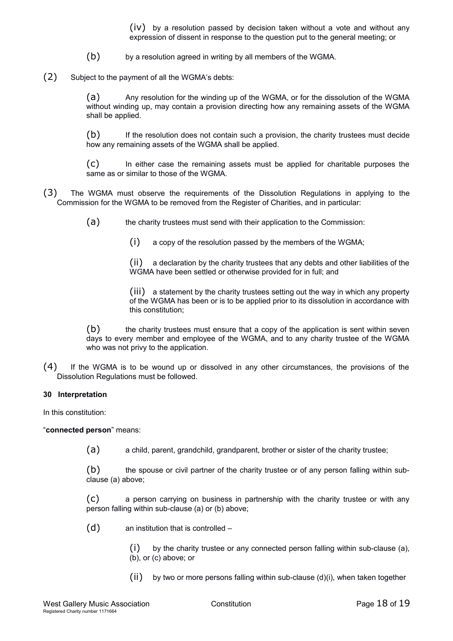(iv) by a resolution passed by decision taken without a vote and without any expression of dissent in response to the question put to the general meeting; or

- (b) by a resolution agreed in writing by all members of the WGMA.
- (2) Subject to the payment of all the WGMA's debts:

(a) Any resolution for the winding up of the WGMA, or for the dissolution of the WGMA without winding up, may contain a provision directing how any remaining assets of the WGMA shall be applied.

(b) If the resolution does not contain such a provision, the charity trustees must decide how any remaining assets of the WGMA shall be applied.

(c) In either case the remaining assets must be applied for charitable purposes the same as or similar to those of the WGMA.

- (3) The WGMA must observe the requirements of the Dissolution Regulations in applying to the Commission for the WGMA to be removed from the Register of Charities, and in particular:
	- (a) the charity trustees must send with their application to the Commission:

(i) a copy of the resolution passed by the members of the WGMA;

(ii) a declaration by the charity trustees that any debts and other liabilities of the WGMA have been settled or otherwise provided for in full; and

(iii) a statement by the charity trustees setting out the way in which any property of the WGMA has been or is to be applied prior to its dissolution in accordance with this constitution;

(b) the charity trustees must ensure that a copy of the application is sent within seven days to every member and employee of the WGMA, and to any charity trustee of the WGMA who was not privy to the application.

(4) If the WGMA is to be wound up or dissolved in any other circumstances, the provisions of the Dissolution Regulations must be followed.

#### **30 Interpretation**

In this constitution:

"**connected person**" means:

(a) a child, parent, grandchild, grandparent, brother or sister of the charity trustee;

(b) the spouse or civil partner of the charity trustee or of any person falling within subclause (a) above;

(c) a person carrying on business in partnership with the charity trustee or with any person falling within sub-clause (a) or (b) above;

(d) an institution that is controlled –

 $(i)$  by the charity trustee or any connected person falling within sub-clause (a), (b), or (c) above; or

 $(i)$  by two or more persons falling within sub-clause  $(d)(i)$ , when taken together